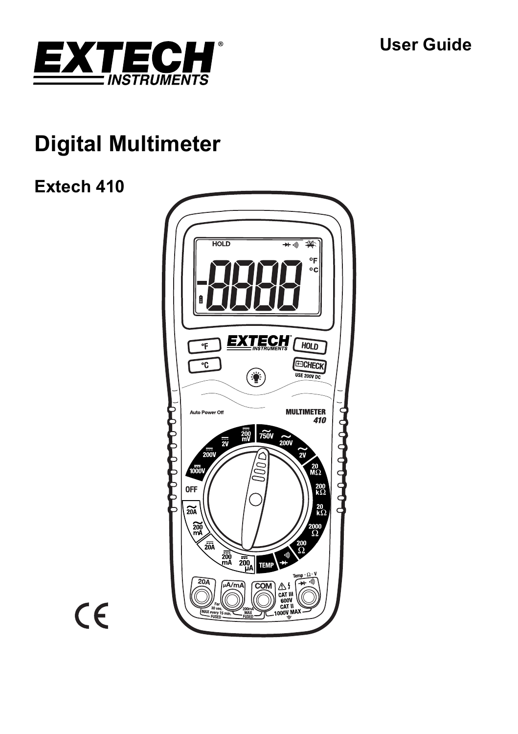## **User Guide**



# **Digital Multimeter**

## **Extech 410**



 $C \in$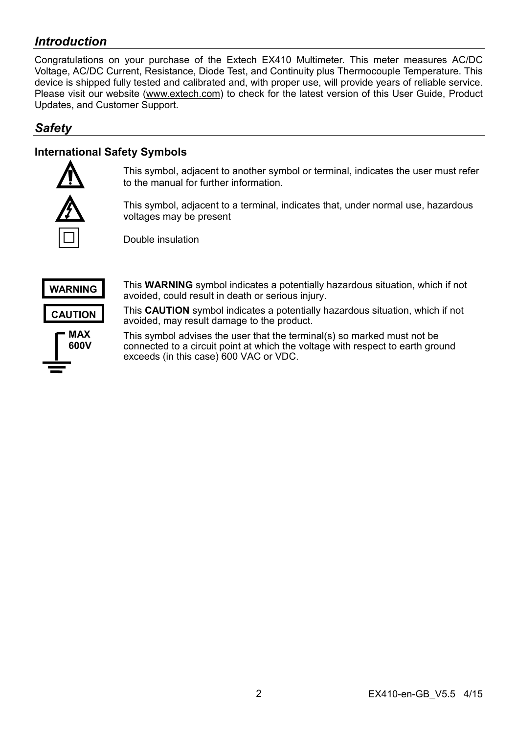## *Introduction*

Congratulations on your purchase of the Extech EX410 Multimeter. This meter measures AC/DC Voltage, AC/DC Current, Resistance, Diode Test, and Continuity plus Thermocouple Temperature. This device is shipped fully tested and calibrated and, with proper use, will provide years of reliable service. Please visit our website (www.extech.com) to check for the latest version of this User Guide, Product Updates, and Customer Support.

## *Safety*

## **International Safety Symbols**



This symbol, adjacent to another symbol or terminal, indicates the user must refer to the manual for further information.

This symbol, adjacent to a terminal, indicates that, under normal use, hazardous voltages may be present

Double insulation



This **WARNING** symbol indicates a potentially hazardous situation, which if not avoided, could result in death or serious injury.

This **CAUTION** symbol indicates a potentially hazardous situation, which if not avoided, may result damage to the product.

This symbol advises the user that the terminal(s) so marked must not be connected to a circuit point at which the voltage with respect to earth ground exceeds (in this case) 600 VAC or VDC.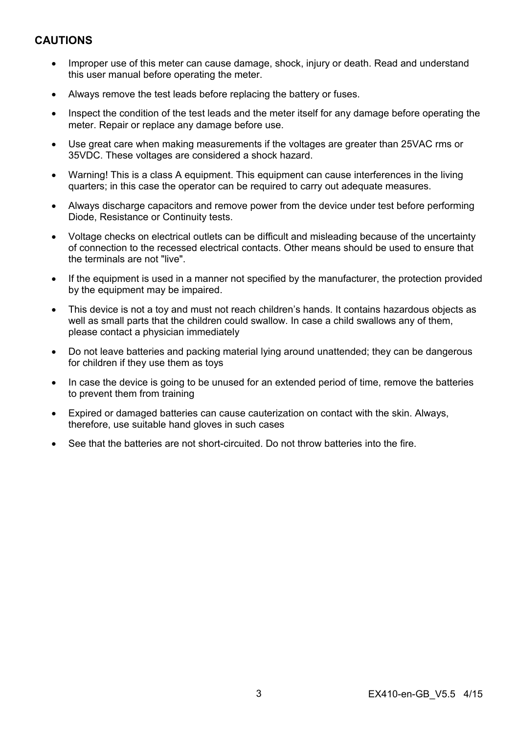## **CAUTIONS**

- Improper use of this meter can cause damage, shock, injury or death. Read and understand this user manual before operating the meter.
- Always remove the test leads before replacing the battery or fuses.
- Inspect the condition of the test leads and the meter itself for any damage before operating the meter. Repair or replace any damage before use.
- Use great care when making measurements if the voltages are greater than 25VAC rms or 35VDC. These voltages are considered a shock hazard.
- Warning! This is a class A equipment. This equipment can cause interferences in the living quarters; in this case the operator can be required to carry out adequate measures.
- Always discharge capacitors and remove power from the device under test before performing Diode, Resistance or Continuity tests.
- Voltage checks on electrical outlets can be difficult and misleading because of the uncertainty of connection to the recessed electrical contacts. Other means should be used to ensure that the terminals are not "live".
- If the equipment is used in a manner not specified by the manufacturer, the protection provided by the equipment may be impaired.
- This device is not a toy and must not reach children's hands. It contains hazardous objects as well as small parts that the children could swallow. In case a child swallows any of them, please contact a physician immediately
- Do not leave batteries and packing material lying around unattended; they can be dangerous for children if they use them as toys
- In case the device is going to be unused for an extended period of time, remove the batteries to prevent them from training
- Expired or damaged batteries can cause cauterization on contact with the skin. Always, therefore, use suitable hand gloves in such cases
- See that the batteries are not short-circuited. Do not throw batteries into the fire.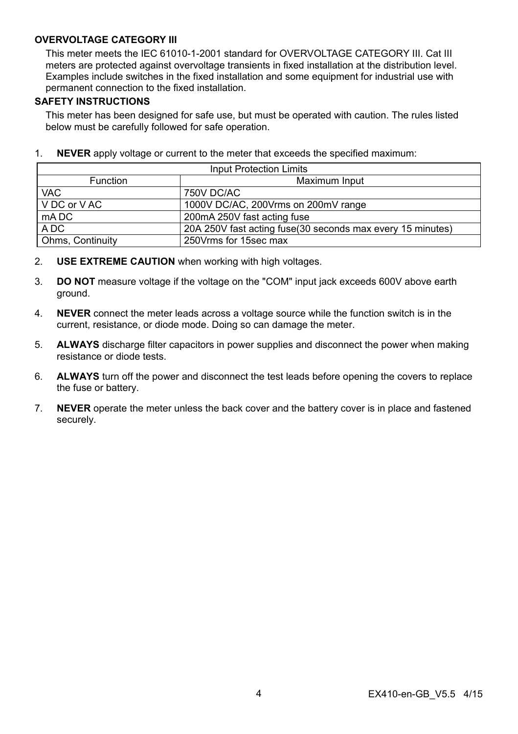#### **OVERVOLTAGE CATEGORY III**

This meter meets the IEC 61010-1-2001 standard for OVERVOLTAGE CATEGORY III. Cat III meters are protected against overvoltage transients in fixed installation at the distribution level. Examples include switches in the fixed installation and some equipment for industrial use with permanent connection to the fixed installation.

#### **SAFETY INSTRUCTIONS**

This meter has been designed for safe use, but must be operated with caution. The rules listed below must be carefully followed for safe operation.

| <b>Input Protection Limits</b>   |                                                             |  |  |
|----------------------------------|-------------------------------------------------------------|--|--|
| Maximum Input<br><b>Function</b> |                                                             |  |  |
| <b>VAC</b>                       | 750V DC/AC                                                  |  |  |
| V DC or V AC                     | 1000V DC/AC, 200Vrms on 200mV range                         |  |  |
| mA DC                            | 200mA 250V fast acting fuse                                 |  |  |
| A DC                             | 20A 250V fast acting fuse (30 seconds max every 15 minutes) |  |  |
| <b>Ohms, Continuity</b>          | 250 Vrms for 15sec max                                      |  |  |

1. **NEVER** apply voltage or current to the meter that exceeds the specified maximum:

- 2. **USE EXTREME CAUTION** when working with high voltages.
- 3. **DO NOT** measure voltage if the voltage on the "COM" input jack exceeds 600V above earth ground.
- 4. **NEVER** connect the meter leads across a voltage source while the function switch is in the current, resistance, or diode mode. Doing so can damage the meter.
- 5. **ALWAYS** discharge filter capacitors in power supplies and disconnect the power when making resistance or diode tests.
- 6. **ALWAYS** turn off the power and disconnect the test leads before opening the covers to replace the fuse or battery.
- 7. **NEVER** operate the meter unless the back cover and the battery cover is in place and fastened securely.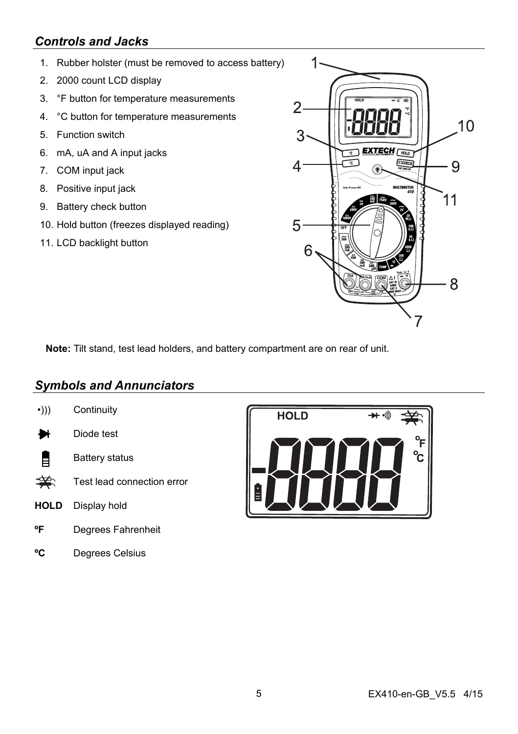## *Controls and Jacks*

- 1. Rubber holster (must be removed to access battery)
- 2. 2000 count LCD display
- 3. °F button for temperature measurements
- 4. °C button for temperature measurements
- 5. Function switch
- 6. mA, uA and A input jacks
- 7. COM input jack
- 8. Positive input jack
- 9. Battery check button
- 10. Hold button (freezes displayed reading)
- 11. LCD backlight button



**Note:** Tilt stand, test lead holders, and battery compartment are on rear of unit.

## *Symbols and Annunciators*

- •))) Continuity
- Diode test ₩
- 自 Battery status
- $\Rightarrow$ Test lead connection error
- **HOLD** Display hold
- **ºF** Degrees Fahrenheit
- **ºC** Degrees Celsius

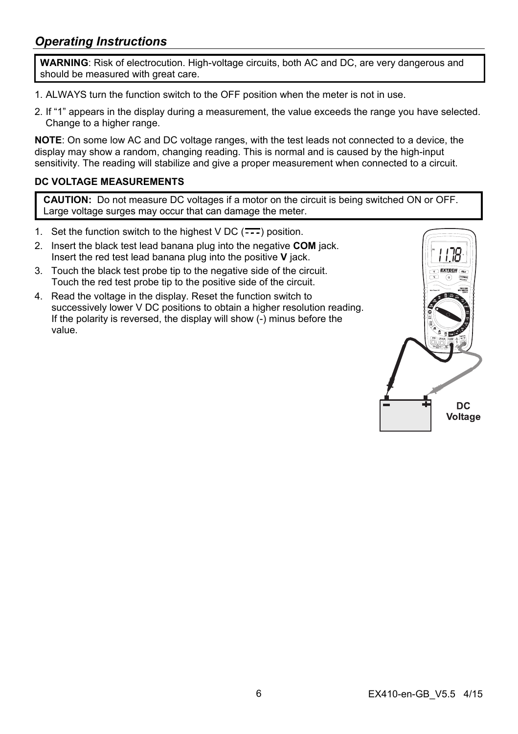## *Operating Instructions*

**WARNING**: Risk of electrocution. High-voltage circuits, both AC and DC, are very dangerous and should be measured with great care.

- 1. ALWAYS turn the function switch to the OFF position when the meter is not in use.
- 2. If "1" appears in the display during a measurement, the value exceeds the range you have selected. Change to a higher range.

**NOTE**: On some low AC and DC voltage ranges, with the test leads not connected to a device, the display may show a random, changing reading. This is normal and is caused by the high-input sensitivity. The reading will stabilize and give a proper measurement when connected to a circuit.

#### **DC VOLTAGE MEASUREMENTS**

**CAUTION:** Do not measure DC voltages if a motor on the circuit is being switched ON or OFF. Large voltage surges may occur that can damage the meter.

- 1. Set the function switch to the highest  $VDC$  ( $\overline{\cdots}$ ) position.
- 2. Insert the black test lead banana plug into the negative **COM** jack. Insert the red test lead banana plug into the positive **V** jack.
- 3. Touch the black test probe tip to the negative side of the circuit. Touch the red test probe tip to the positive side of the circuit.
- 4. Read the voltage in the display. Reset the function switch to successively lower V DC positions to obtain a higher resolution reading. If the polarity is reversed, the display will show (-) minus before the value.

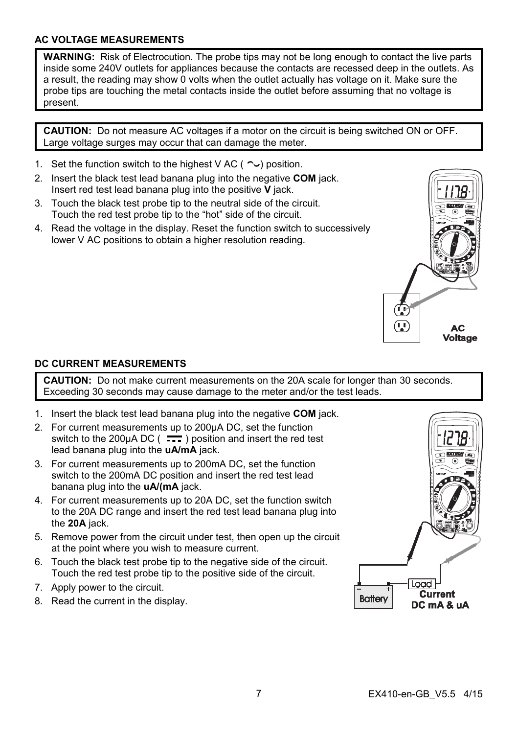#### **AC VOLTAGE MEASUREMENTS**

**WARNING:** Risk of Electrocution. The probe tips may not be long enough to contact the live parts inside some 240V outlets for appliances because the contacts are recessed deep in the outlets. As a result, the reading may show 0 volts when the outlet actually has voltage on it. Make sure the probe tips are touching the metal contacts inside the outlet before assuming that no voltage is present.

**CAUTION:** Do not measure AC voltages if a motor on the circuit is being switched ON or OFF. Large voltage surges may occur that can damage the meter.

- 1. Set the function switch to the highest V AC ( $\sim$ ) position.
- 2. Insert the black test lead banana plug into the negative **COM** jack. Insert red test lead banana plug into the positive **V** jack.
- 3. Touch the black test probe tip to the neutral side of the circuit. Touch the red test probe tip to the "hot" side of the circuit.
- 4. Read the voltage in the display. Reset the function switch to successively lower V AC positions to obtain a higher resolution reading.



## **DC CURRENT MEASUREMENTS**

**CAUTION:** Do not make current measurements on the 20A scale for longer than 30 seconds. Exceeding 30 seconds may cause damage to the meter and/or the test leads.

- 1. Insert the black test lead banana plug into the negative **COM** jack.
- 2. For current measurements up to 200µA DC, set the function switch to the 200µA DC ( $\overline{11}$ ) position and insert the red test lead banana plug into the **uA/mA** jack.
- 3. For current measurements up to 200mA DC, set the function switch to the 200mA DC position and insert the red test lead banana plug into the **uA/(mA** jack.
- 4. For current measurements up to 20A DC, set the function switch to the 20A DC range and insert the red test lead banana plug into the **20A** jack.
- 5. Remove power from the circuit under test, then open up the circuit at the point where you wish to measure current.
- 6. Touch the black test probe tip to the negative side of the circuit. Touch the red test probe tip to the positive side of the circuit.
- 7. Apply power to the circuit.
- 8. Read the current in the display.

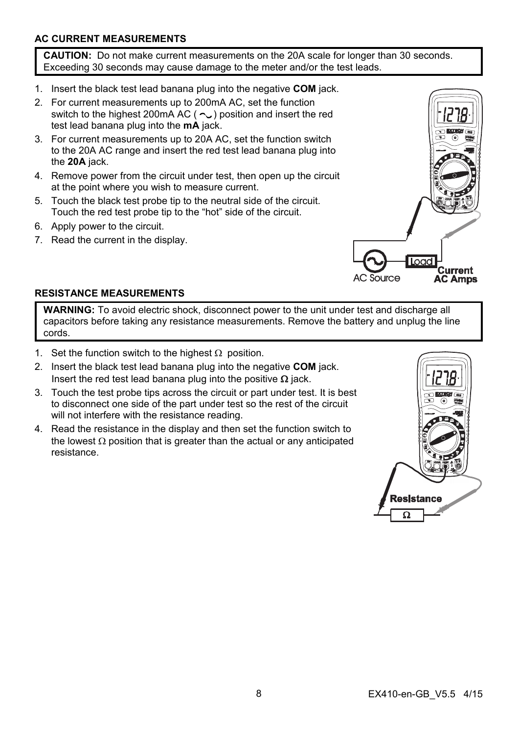## **AC CURRENT MEASUREMENTS**

**CAUTION:** Do not make current measurements on the 20A scale for longer than 30 seconds. Exceeding 30 seconds may cause damage to the meter and/or the test leads.

- 1. Insert the black test lead banana plug into the negative **COM** jack.
- 2. For current measurements up to 200mA AC, set the function switch to the highest 200mA AC ( $\sim$ ) position and insert the red test lead banana plug into the **mA** jack.
- 3. For current measurements up to 20A AC, set the function switch to the 20A AC range and insert the red test lead banana plug into the **20A** jack.
- 4. Remove power from the circuit under test, then open up the circuit at the point where you wish to measure current.
- 5. Touch the black test probe tip to the neutral side of the circuit. Touch the red test probe tip to the "hot" side of the circuit.
- 6. Apply power to the circuit.
- 7. Read the current in the display.



#### **RESISTANCE MEASUREMENTS**

**WARNING:** To avoid electric shock, disconnect power to the unit under test and discharge all capacitors before taking any resistance measurements. Remove the battery and unplug the line cords.

- 1. Set the function switch to the highest  $\Omega$  position.
- 2. Insert the black test lead banana plug into the negative **COM** jack. Insert the red test lead banana plug into the positive  $\Omega$  jack.
- 3. Touch the test probe tips across the circuit or part under test. It is best to disconnect one side of the part under test so the rest of the circuit will not interfere with the resistance reading.
- 4. Read the resistance in the display and then set the function switch to the lowest  $\Omega$  position that is greater than the actual or any anticipated resistance.

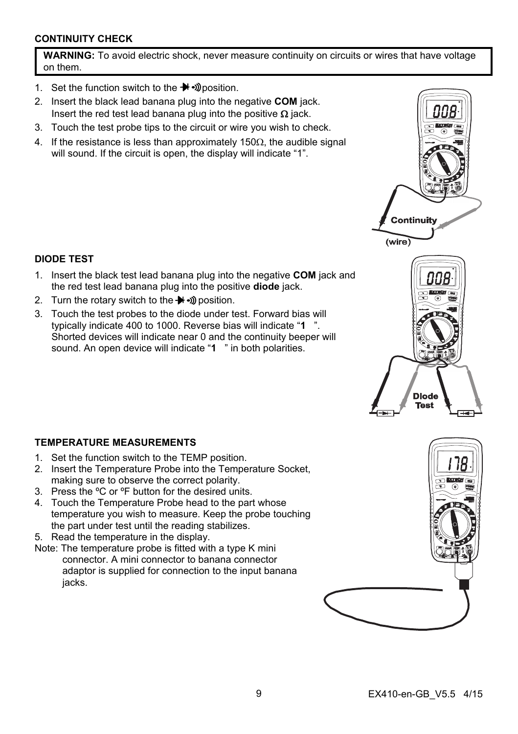## **CONTINUITY CHECK**

**WARNING:** To avoid electric shock, never measure continuity on circuits or wires that have voltage on them.

- 1. Set the function switch to the  $\blacktriangleright$   $\blacktriangleright$   $\mathcal D$  position.
- 2. Insert the black lead banana plug into the negative **COM** jack. Insert the red test lead banana plug into the positive  $\Omega$  jack.
- 3. Touch the test probe tips to the circuit or wire you wish to check.
- 4. If the resistance is less than approximately 150 $\Omega$ , the audible signal will sound. If the circuit is open, the display will indicate "1".

## **DIODE TEST**

- 1. Insert the black test lead banana plug into the negative **COM** jack and the red test lead banana plug into the positive **diode** jack.
- 2. Turn the rotary switch to the  $\blacktriangleright$   $\blacktriangleright$  nosition.
- 3. Touch the test probes to the diode under test. Forward bias will typically indicate 400 to 1000. Reverse bias will indicate "**1** ". Shorted devices will indicate near 0 and the continuity beeper will sound. An open device will indicate "**1** " in both polarities.

## **TEMPERATURE MEASUREMENTS**

- 1. Set the function switch to the TEMP position.
- 2. Insert the Temperature Probe into the Temperature Socket, making sure to observe the correct polarity.
- 3. Press the ºC or ºF button for the desired units.
- 4. Touch the Temperature Probe head to the part whose temperature you wish to measure. Keep the probe touching the part under test until the reading stabilizes.
- 5. Read the temperature in the display.
- Note: The temperature probe is fitted with a type K mini connector. A mini connector to banana connector adaptor is supplied for connection to the input banana iacks.





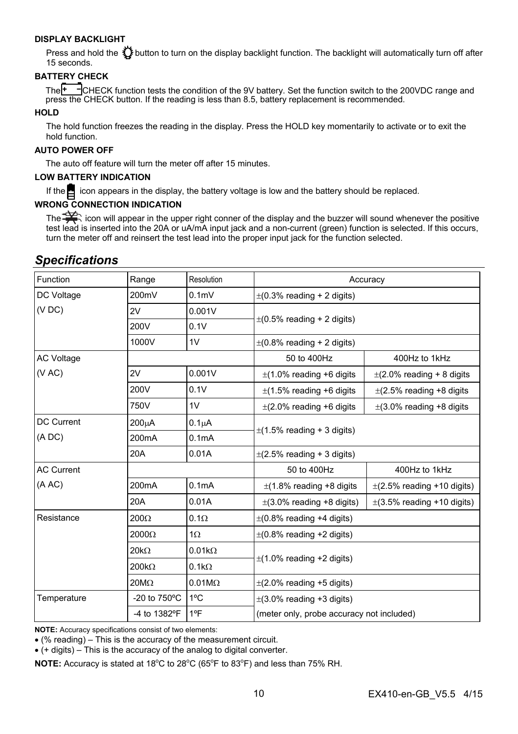#### **DISPLAY BACKLIGHT**

Press and hold the  $\bf{W}$  button to turn on the display backlight function. The backlight will automatically turn off after 15 seconds.

#### **BATTERY CHECK**

The  $\overline{f}$   $\overline{f}$   $\overline{f}$   $\overline{f}$   $\overline{f}$  and  $\overline{f}$  and  $\overline{f}$  condition of the 9V battery. Set the function switch to the 200VDC range and press the CHECK button. If the reading is less than 8.5, battery replacement is recommended.

#### **HOLD**

The hold function freezes the reading in the display. Press the HOLD key momentarily to activate or to exit the hold function.

#### **AUTO POWER OFF**

The auto off feature will turn the meter off after 15 minutes.

#### **LOW BATTERY INDICATION**

If the  $\blacksquare$  icon appears in the display, the battery voltage is low and the battery should be replaced.

#### **WRONG CONNECTION INDICATION**

The  $\Rightarrow$  icon will appear in the upper right conner of the display and the buzzer will sound whenever the positive test lead is inserted into the 20A or uA/mA input jack and a non-current (green) function is selected. If this occurs, turn the meter off and reinsert the test lead into the proper input jack for the function selected.

## *Specifications*

| Function          | Range                  | Resolution         | Accuracy                                  |                                 |
|-------------------|------------------------|--------------------|-------------------------------------------|---------------------------------|
| DC Voltage        | 200mV                  | 0.1 <sub>m</sub>   | $\pm$ (0.3% reading + 2 digits)           |                                 |
| (VDC)             | 2V                     | 0.001V             | $\pm$ (0.5% reading + 2 digits)           |                                 |
|                   | 200V                   | 0.1V               |                                           |                                 |
|                   | 1000V                  | 1V                 | $\pm$ (0.8% reading + 2 digits)           |                                 |
| <b>AC Voltage</b> |                        |                    | 50 to 400Hz                               | 400Hz to 1kHz                   |
| (VAC)             | 2V                     | 0.001V             | $\pm$ (1.0% reading +6 digits             | $\pm$ (2.0% reading + 8 digits  |
|                   | 200V                   | 0.1V               | $\pm$ (1.5% reading +6 digits             | $\pm$ (2.5% reading +8 digits   |
|                   | 750V                   | 1V                 | $\pm$ (2.0% reading +6 digits             | $\pm$ (3.0% reading +8 digits   |
| DC Current        | 200µA                  | 0.1 <sub>µ</sub> A | $\pm$ (1.5% reading + 3 digits)           |                                 |
| (ADC)             | 200 <sub>m</sub> A     | 0.1 <sub>m</sub> A |                                           |                                 |
|                   | 20A                    | 0.01A              | $\pm$ (2.5% reading + 3 digits)           |                                 |
| <b>AC Current</b> |                        |                    | 50 to 400Hz                               | 400Hz to 1kHz                   |
| (A AC)            | 200 <sub>m</sub> A     | 0.1 <sub>m</sub> A | $\pm$ (1.8% reading +8 digits             | $\pm$ (2.5% reading +10 digits) |
|                   | 20A                    | 0.01A              | $\pm$ (3.0% reading +8 digits)            | $\pm$ (3.5% reading +10 digits) |
| Resistance        | $200\Omega$            | $0.1\Omega$        | $\pm$ (0.8% reading +4 digits)            |                                 |
|                   | $2000\Omega$           | $1\Omega$          | $\pm$ (0.8% reading +2 digits)            |                                 |
|                   | $20k\Omega$            | $0.01k\Omega$      | $\pm$ (1.0% reading +2 digits)            |                                 |
|                   | $200k\Omega$           | $0.1k\Omega$       |                                           |                                 |
|                   | $20M\Omega$            | $0.01M\Omega$      | $\pm$ (2.0% reading +5 digits)            |                                 |
| Temperature       | -20 to $750^{\circ}$ C | $1^{\circ}$ C      | $\pm$ (3.0% reading +3 digits)            |                                 |
|                   | -4 to 1382°F           | 1ºF                | (meter only, probe accuracy not included) |                                 |

**NOTE:** Accuracy specifications consist of two elements:

(% reading) – This is the accuracy of the measurement circuit.

(+ digits) – This is the accuracy of the analog to digital converter.

NOTE: Accuracy is stated at 18<sup>°</sup>C to 28<sup>°</sup>C (65<sup>°</sup>F to 83<sup>°</sup>F) and less than 75% RH.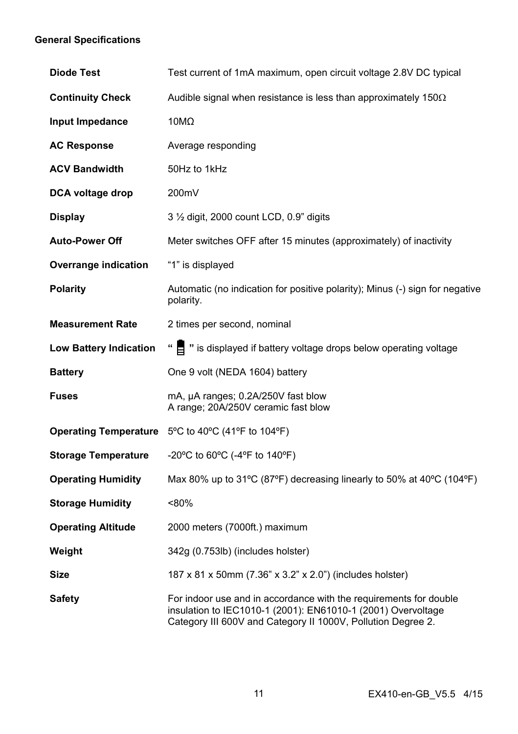## **General Specifications**

| <b>Diode Test</b>             | Test current of 1mA maximum, open circuit voltage 2.8V DC typical                                                                                                                                 |  |
|-------------------------------|---------------------------------------------------------------------------------------------------------------------------------------------------------------------------------------------------|--|
| <b>Continuity Check</b>       | Audible signal when resistance is less than approximately 150 $\Omega$                                                                                                                            |  |
| Input Impedance               | 10M $\Omega$                                                                                                                                                                                      |  |
| <b>AC Response</b>            | Average responding                                                                                                                                                                                |  |
| <b>ACV Bandwidth</b>          | 50Hz to 1kHz                                                                                                                                                                                      |  |
| DCA voltage drop              | 200mV                                                                                                                                                                                             |  |
| <b>Display</b>                | 3 1/2 digit, 2000 count LCD, 0.9" digits                                                                                                                                                          |  |
| <b>Auto-Power Off</b>         | Meter switches OFF after 15 minutes (approximately) of inactivity                                                                                                                                 |  |
| Overrange indication          | "1" is displayed                                                                                                                                                                                  |  |
| <b>Polarity</b>               | Automatic (no indication for positive polarity); Minus (-) sign for negative<br>polarity.                                                                                                         |  |
| <b>Measurement Rate</b>       | 2 times per second, nominal                                                                                                                                                                       |  |
| <b>Low Battery Indication</b> | " E " is displayed if battery voltage drops below operating voltage                                                                                                                               |  |
| <b>Battery</b>                | One 9 volt (NEDA 1604) battery                                                                                                                                                                    |  |
| <b>Fuses</b>                  | mA, µA ranges; 0.2A/250V fast blow<br>A range; 20A/250V ceramic fast blow                                                                                                                         |  |
|                               | <b>Operating Temperature</b> $5^{\circ}$ C to 40 $^{\circ}$ C (41 $^{\circ}$ F to 104 $^{\circ}$ F)                                                                                               |  |
| <b>Storage Temperature</b>    | -20°C to 60°C (-4°F to 140°F)                                                                                                                                                                     |  |
| <b>Operating Humidity</b>     | Max 80% up to 31 °C (87°F) decreasing linearly to 50% at 40 °C (104 °F)                                                                                                                           |  |
| <b>Storage Humidity</b>       | $< 80\%$                                                                                                                                                                                          |  |
| <b>Operating Altitude</b>     | 2000 meters (7000ft.) maximum                                                                                                                                                                     |  |
| Weight                        | 342g (0.753lb) (includes holster)                                                                                                                                                                 |  |
| <b>Size</b>                   | 187 x 81 x 50mm (7.36" x 3.2" x 2.0") (includes holster)                                                                                                                                          |  |
| <b>Safety</b>                 | For indoor use and in accordance with the requirements for double<br>insulation to IEC1010-1 (2001): EN61010-1 (2001) Overvoltage<br>Category III 600V and Category II 1000V, Pollution Degree 2. |  |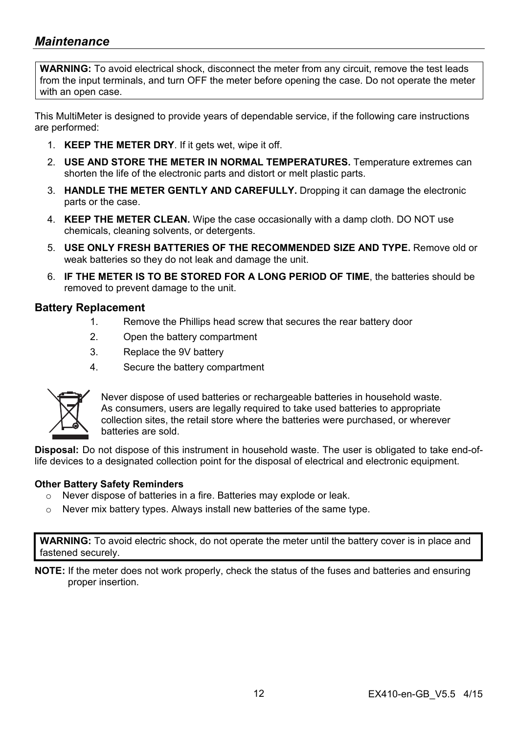## *Maintenance*

**WARNING:** To avoid electrical shock, disconnect the meter from any circuit, remove the test leads from the input terminals, and turn OFF the meter before opening the case. Do not operate the meter with an open case.

This MultiMeter is designed to provide years of dependable service, if the following care instructions are performed:

- 1. **KEEP THE METER DRY**. If it gets wet, wipe it off.
- 2. **USE AND STORE THE METER IN NORMAL TEMPERATURES.** Temperature extremes can shorten the life of the electronic parts and distort or melt plastic parts.
- 3. **HANDLE THE METER GENTLY AND CAREFULLY.** Dropping it can damage the electronic parts or the case.
- 4. **KEEP THE METER CLEAN.** Wipe the case occasionally with a damp cloth. DO NOT use chemicals, cleaning solvents, or detergents.
- 5. **USE ONLY FRESH BATTERIES OF THE RECOMMENDED SIZE AND TYPE.** Remove old or weak batteries so they do not leak and damage the unit.
- 6. **IF THE METER IS TO BE STORED FOR A LONG PERIOD OF TIME**, the batteries should be removed to prevent damage to the unit.

#### **Battery Replacement**

- 1. Remove the Phillips head screw that secures the rear battery door
- 2. Open the battery compartment
- 3. Replace the 9V battery
- 4. Secure the battery compartment



Never dispose of used batteries or rechargeable batteries in household waste. As consumers, users are legally required to take used batteries to appropriate collection sites, the retail store where the batteries were purchased, or wherever batteries are sold.

**Disposal:** Do not dispose of this instrument in household waste. The user is obligated to take end-oflife devices to a designated collection point for the disposal of electrical and electronic equipment.

#### **Other Battery Safety Reminders**

- o Never dispose of batteries in a fire. Batteries may explode or leak.
- o Never mix battery types. Always install new batteries of the same type.

**WARNING:** To avoid electric shock, do not operate the meter until the battery cover is in place and fastened securely.

**NOTE:** If the meter does not work properly, check the status of the fuses and batteries and ensuring proper insertion.